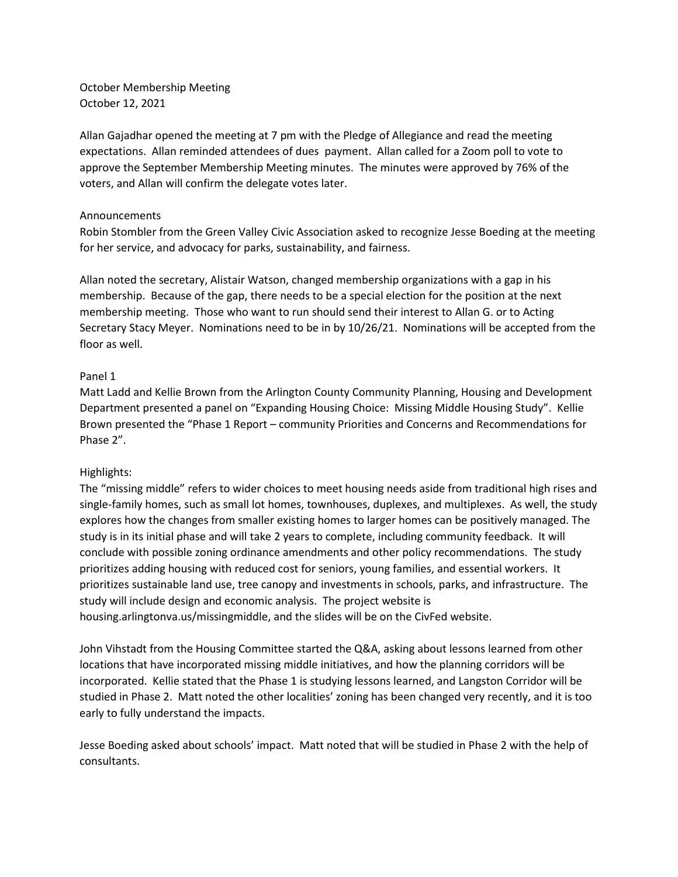October Membership Meeting October 12, 2021

Allan Gajadhar opened the meeting at 7 pm with the Pledge of Allegiance and read the meeting expectations. Allan reminded attendees of dues payment. Allan called for a Zoom poll to vote to approve the September Membership Meeting minutes. The minutes were approved by 76% of the voters, and Allan will confirm the delegate votes later.

# Announcements

Robin Stombler from the Green Valley Civic Association asked to recognize Jesse Boeding at the meeting for her service, and advocacy for parks, sustainability, and fairness.

Allan noted the secretary, Alistair Watson, changed membership organizations with a gap in his membership. Because of the gap, there needs to be a special election for the position at the next membership meeting. Those who want to run should send their interest to Allan G. or to Acting Secretary Stacy Meyer. Nominations need to be in by 10/26/21. Nominations will be accepted from the floor as well.

# Panel 1

Matt Ladd and Kellie Brown from the Arlington County Community Planning, Housing and Development Department presented a panel on "Expanding Housing Choice: Missing Middle Housing Study". Kellie Brown presented the "Phase 1 Report – community Priorities and Concerns and Recommendations for Phase 2".

# Highlights:

The "missing middle" refers to wider choices to meet housing needs aside from traditional high rises and single-family homes, such as small lot homes, townhouses, duplexes, and multiplexes. As well, the study explores how the changes from smaller existing homes to larger homes can be positively managed. The study is in its initial phase and will take 2 years to complete, including community feedback. It will conclude with possible zoning ordinance amendments and other policy recommendations. The study prioritizes adding housing with reduced cost for seniors, young families, and essential workers. It prioritizes sustainable land use, tree canopy and investments in schools, parks, and infrastructure. The study will include design and economic analysis. The project website is housing.arlingtonva.us/missingmiddle, and the slides will be on the CivFed website.

John Vihstadt from the Housing Committee started the Q&A, asking about lessons learned from other locations that have incorporated missing middle initiatives, and how the planning corridors will be incorporated. Kellie stated that the Phase 1 is studying lessons learned, and Langston Corridor will be studied in Phase 2. Matt noted the other localities' zoning has been changed very recently, and it is too early to fully understand the impacts.

Jesse Boeding asked about schools' impact. Matt noted that will be studied in Phase 2 with the help of consultants.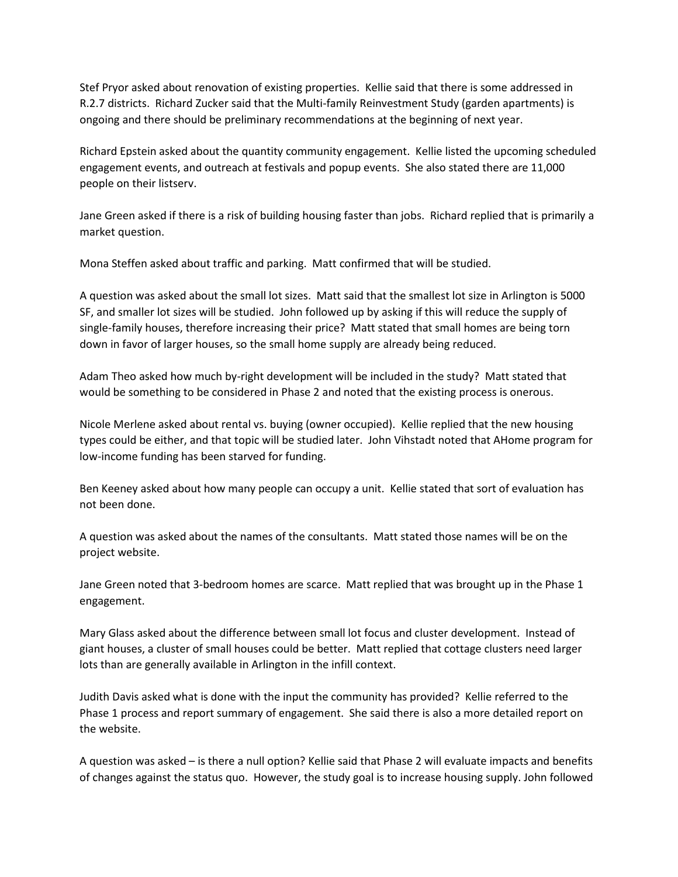Stef Pryor asked about renovation of existing properties. Kellie said that there is some addressed in R.2.7 districts. Richard Zucker said that the Multi-family Reinvestment Study (garden apartments) is ongoing and there should be preliminary recommendations at the beginning of next year.

Richard Epstein asked about the quantity community engagement. Kellie listed the upcoming scheduled engagement events, and outreach at festivals and popup events. She also stated there are 11,000 people on their listserv.

Jane Green asked if there is a risk of building housing faster than jobs. Richard replied that is primarily a market question.

Mona Steffen asked about traffic and parking. Matt confirmed that will be studied.

A question was asked about the small lot sizes. Matt said that the smallest lot size in Arlington is 5000 SF, and smaller lot sizes will be studied. John followed up by asking if this will reduce the supply of single-family houses, therefore increasing their price? Matt stated that small homes are being torn down in favor of larger houses, so the small home supply are already being reduced.

Adam Theo asked how much by-right development will be included in the study? Matt stated that would be something to be considered in Phase 2 and noted that the existing process is onerous.

Nicole Merlene asked about rental vs. buying (owner occupied). Kellie replied that the new housing types could be either, and that topic will be studied later. John Vihstadt noted that AHome program for low-income funding has been starved for funding.

Ben Keeney asked about how many people can occupy a unit. Kellie stated that sort of evaluation has not been done.

A question was asked about the names of the consultants. Matt stated those names will be on the project website.

Jane Green noted that 3-bedroom homes are scarce. Matt replied that was brought up in the Phase 1 engagement.

Mary Glass asked about the difference between small lot focus and cluster development. Instead of giant houses, a cluster of small houses could be better. Matt replied that cottage clusters need larger lots than are generally available in Arlington in the infill context.

Judith Davis asked what is done with the input the community has provided? Kellie referred to the Phase 1 process and report summary of engagement. She said there is also a more detailed report on the website.

A question was asked – is there a null option? Kellie said that Phase 2 will evaluate impacts and benefits of changes against the status quo. However, the study goal is to increase housing supply. John followed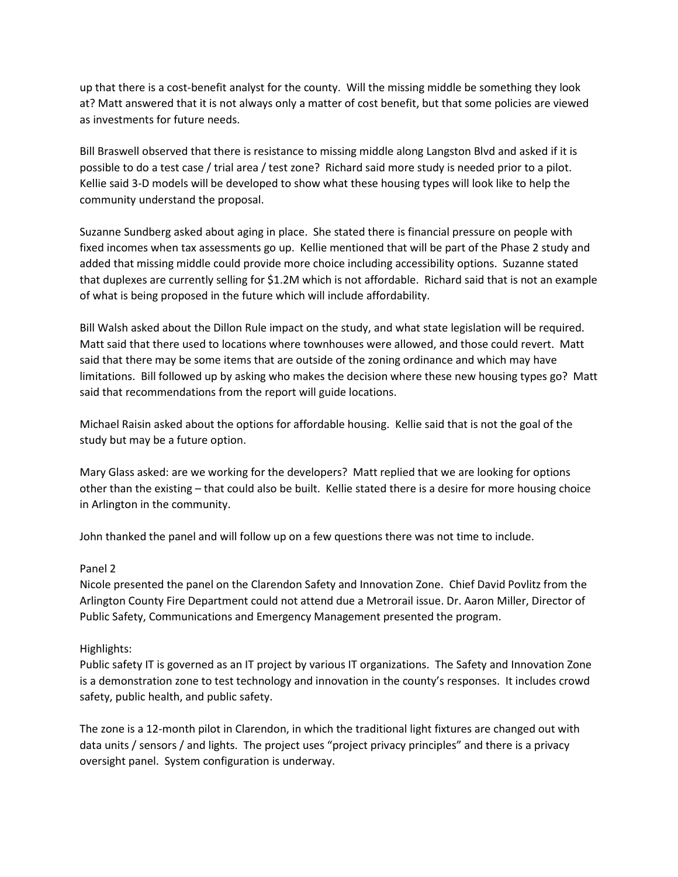up that there is a cost-benefit analyst for the county. Will the missing middle be something they look at? Matt answered that it is not always only a matter of cost benefit, but that some policies are viewed as investments for future needs.

Bill Braswell observed that there is resistance to missing middle along Langston Blvd and asked if it is possible to do a test case / trial area / test zone? Richard said more study is needed prior to a pilot. Kellie said 3-D models will be developed to show what these housing types will look like to help the community understand the proposal.

Suzanne Sundberg asked about aging in place. She stated there is financial pressure on people with fixed incomes when tax assessments go up. Kellie mentioned that will be part of the Phase 2 study and added that missing middle could provide more choice including accessibility options. Suzanne stated that duplexes are currently selling for \$1.2M which is not affordable. Richard said that is not an example of what is being proposed in the future which will include affordability.

Bill Walsh asked about the Dillon Rule impact on the study, and what state legislation will be required. Matt said that there used to locations where townhouses were allowed, and those could revert. Matt said that there may be some items that are outside of the zoning ordinance and which may have limitations. Bill followed up by asking who makes the decision where these new housing types go? Matt said that recommendations from the report will guide locations.

Michael Raisin asked about the options for affordable housing. Kellie said that is not the goal of the study but may be a future option.

Mary Glass asked: are we working for the developers? Matt replied that we are looking for options other than the existing – that could also be built. Kellie stated there is a desire for more housing choice in Arlington in the community.

John thanked the panel and will follow up on a few questions there was not time to include.

# Panel 2

Nicole presented the panel on the Clarendon Safety and Innovation Zone. Chief David Povlitz from the Arlington County Fire Department could not attend due a Metrorail issue. Dr. Aaron Miller, Director of Public Safety, Communications and Emergency Management presented the program.

# Highlights:

Public safety IT is governed as an IT project by various IT organizations. The Safety and Innovation Zone is a demonstration zone to test technology and innovation in the county's responses. It includes crowd safety, public health, and public safety.

The zone is a 12-month pilot in Clarendon, in which the traditional light fixtures are changed out with data units / sensors / and lights. The project uses "project privacy principles" and there is a privacy oversight panel. System configuration is underway.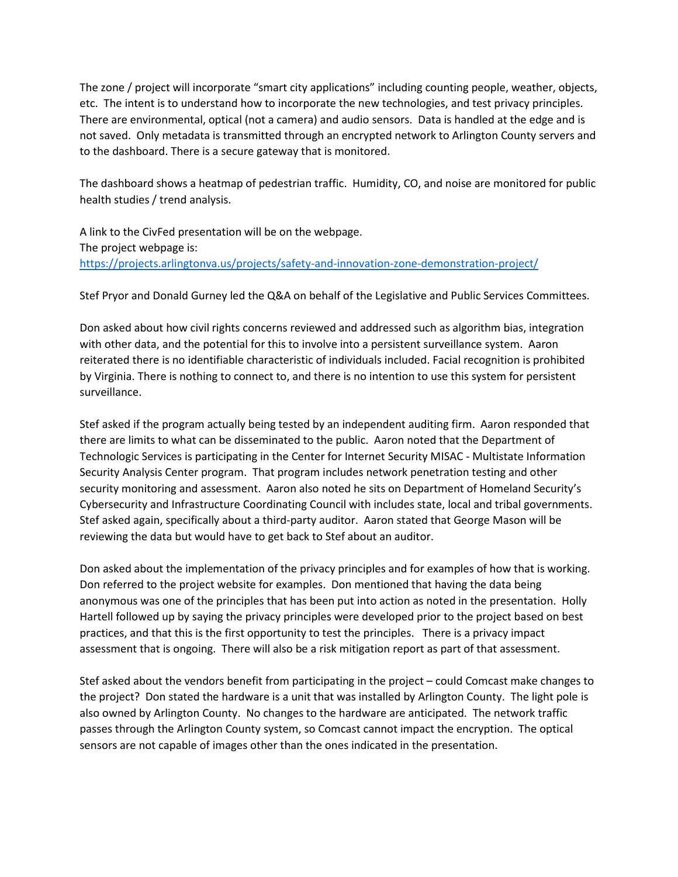The zone / project will incorporate "smart city applications" including counting people, weather, objects, etc. The intent is to understand how to incorporate the new technologies, and test privacy principles. There are environmental, optical (not a camera) and audio sensors. Data is handled at the edge and is not saved. Only metadata is transmitted through an encrypted network to Arlington County servers and to the dashboard. There is a secure gateway that is monitored.

The dashboard shows a heatmap of pedestrian traffic. Humidity, CO, and noise are monitored for public health studies / trend analysis.

A link to the CivFed presentation will be on the webpage. The project webpage is: <https://projects.arlingtonva.us/projects/safety-and-innovation-zone-demonstration-project/>

Stef Pryor and Donald Gurney led the Q&A on behalf of the Legislative and Public Services Committees.

Don asked about how civil rights concerns reviewed and addressed such as algorithm bias, integration with other data, and the potential for this to involve into a persistent surveillance system. Aaron reiterated there is no identifiable characteristic of individuals included. Facial recognition is prohibited by Virginia. There is nothing to connect to, and there is no intention to use this system for persistent surveillance.

Stef asked if the program actually being tested by an independent auditing firm. Aaron responded that there are limits to what can be disseminated to the public. Aaron noted that the Department of Technologic Services is participating in the Center for Internet Security MISAC - Multistate Information Security Analysis Center program. That program includes network penetration testing and other security monitoring and assessment. Aaron also noted he sits on Department of Homeland Security's Cybersecurity and Infrastructure Coordinating Council with includes state, local and tribal governments. Stef asked again, specifically about a third-party auditor. Aaron stated that George Mason will be reviewing the data but would have to get back to Stef about an auditor.

Don asked about the implementation of the privacy principles and for examples of how that is working. Don referred to the project website for examples. Don mentioned that having the data being anonymous was one of the principles that has been put into action as noted in the presentation. Holly Hartell followed up by saying the privacy principles were developed prior to the project based on best practices, and that this is the first opportunity to test the principles. There is a privacy impact assessment that is ongoing. There will also be a risk mitigation report as part of that assessment.

Stef asked about the vendors benefit from participating in the project – could Comcast make changes to the project? Don stated the hardware is a unit that was installed by Arlington County. The light pole is also owned by Arlington County. No changes to the hardware are anticipated. The network traffic passes through the Arlington County system, so Comcast cannot impact the encryption. The optical sensors are not capable of images other than the ones indicated in the presentation.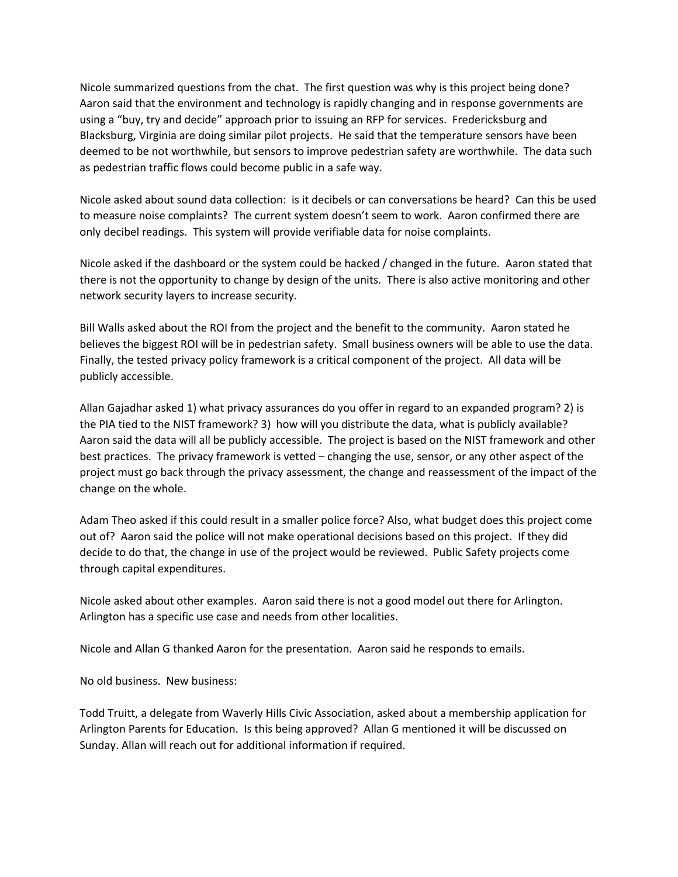Nicole summarized questions from the chat. The first question was why is this project being done? Aaron said that the environment and technology is rapidly changing and in response governments are using a "buy, try and decide" approach prior to issuing an RFP for services. Fredericksburg and Blacksburg, Virginia are doing similar pilot projects. He said that the temperature sensors have been deemed to be not worthwhile, but sensors to improve pedestrian safety are worthwhile. The data such as pedestrian traffic flows could become public in a safe way.

Nicole asked about sound data collection: is it decibels or can conversations be heard? Can this be used to measure noise complaints? The current system doesn't seem to work. Aaron confirmed there are only decibel readings. This system will provide verifiable data for noise complaints.

Nicole asked if the dashboard or the system could be hacked / changed in the future. Aaron stated that there is not the opportunity to change by design of the units. There is also active monitoring and other network security layers to increase security.

Bill Walls asked about the ROI from the project and the benefit to the community. Aaron stated he believes the biggest ROI will be in pedestrian safety. Small business owners will be able to use the data. Finally, the tested privacy policy framework is a critical component of the project. All data will be publicly accessible.

Allan Gajadhar asked 1) what privacy assurances do you offer in regard to an expanded program? 2) is the PIA tied to the NIST framework? 3) how will you distribute the data, what is publicly available? Aaron said the data will all be publicly accessible. The project is based on the NIST framework and other best practices. The privacy framework is vetted – changing the use, sensor, or any other aspect of the project must go back through the privacy assessment, the change and reassessment of the impact of the change on the whole.

Adam Theo asked if this could result in a smaller police force? Also, what budget does this project come out of? Aaron said the police will not make operational decisions based on this project. If they did decide to do that, the change in use of the project would be reviewed. Public Safety projects come through capital expenditures.

Nicole asked about other examples. Aaron said there is not a good model out there for Arlington. Arlington has a specific use case and needs from other localities.

Nicole and Allan G thanked Aaron for the presentation. Aaron said he responds to emails.

No old business. New business:

Todd Truitt, a delegate from Waverly Hills Civic Association, asked about a membership application for Arlington Parents for Education. Is this being approved? Allan G mentioned it will be discussed on Sunday. Allan will reach out for additional information if required.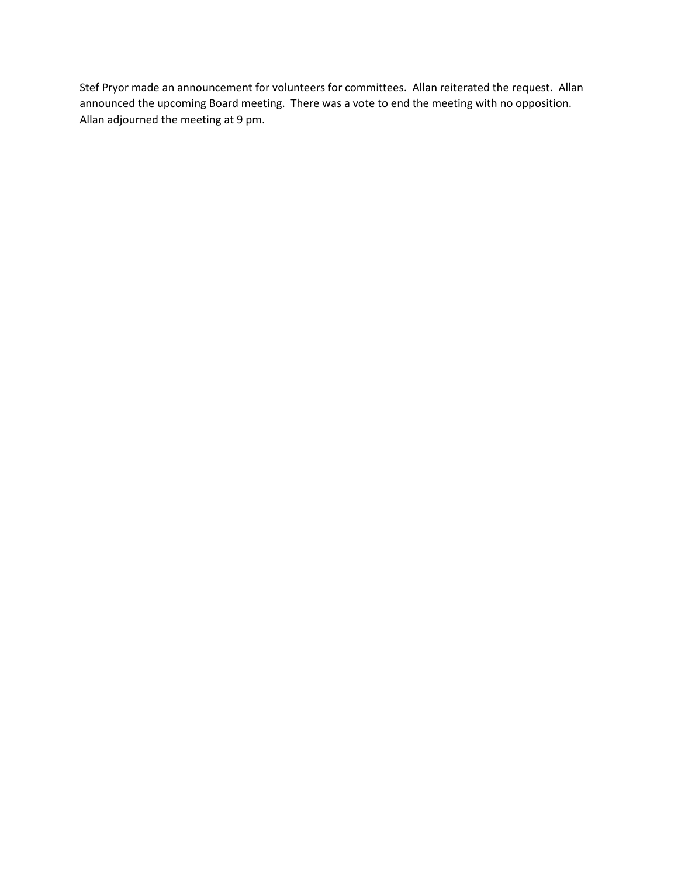Stef Pryor made an announcement for volunteers for committees. Allan reiterated the request. Allan announced the upcoming Board meeting. There was a vote to end the meeting with no opposition. Allan adjourned the meeting at 9 pm.